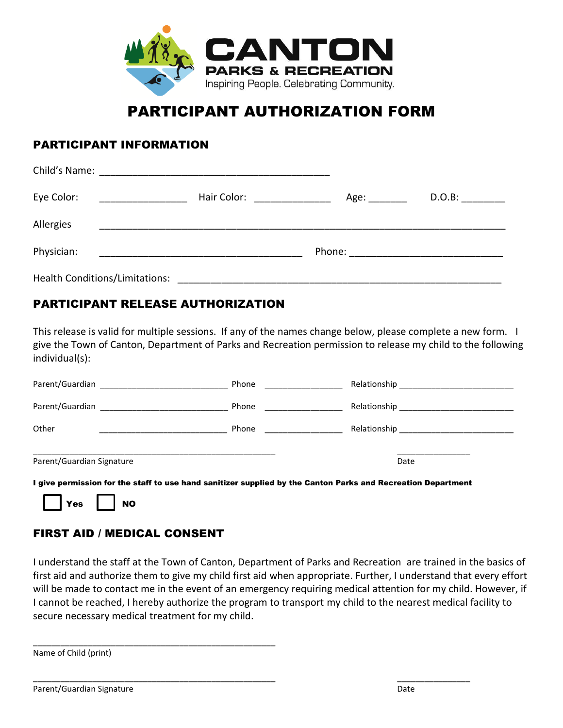

# PARTICIPANT AUTHORIZATION FORM

#### PARTICIPANT INFORMATION

| Eye Color:                     | Hair Color:                             | Age: _________ | D.O.B: |
|--------------------------------|-----------------------------------------|----------------|--------|
| Allergies                      |                                         |                |        |
| Physician:                     |                                         |                |        |
| Health Conditions/Limitations: | <u>________________________________</u> |                |        |

#### PARTICIPANT RELEASE AUTHORIZATION

This release is valid for multiple sessions. If any of the names change below, please complete a new form. I give the Town of Canton, Department of Parks and Recreation permission to release my child to the following individual(s):

| Parent/Guardian           | Phone |                                    |
|---------------------------|-------|------------------------------------|
|                           | Phone |                                    |
| Other                     | Phone | Relationship _____________________ |
| Parent/Guardian Signature |       | Date                               |

I give permission for the staff to use hand sanitizer supplied by the Canton Parks and Recreation Department

\_\_\_\_\_\_\_\_\_\_\_\_\_\_\_\_\_\_\_\_\_\_\_\_\_\_\_\_\_\_\_\_\_\_\_\_\_\_\_\_\_\_\_\_\_\_\_\_\_\_\_\_\_ \_\_\_\_\_\_\_\_\_\_\_\_\_\_\_\_



### FIRST AID / MEDICAL CONSENT

\_\_\_\_\_\_\_\_\_\_\_\_\_\_\_\_\_\_\_\_\_\_\_\_\_\_\_\_\_\_\_\_\_\_\_\_\_\_\_\_\_\_\_\_\_\_\_\_\_\_\_\_\_

I understand the staff at the Town of Canton, Department of Parks and Recreation are trained in the basics of first aid and authorize them to give my child first aid when appropriate. Further, I understand that every effort will be made to contact me in the event of an emergency requiring medical attention for my child. However, if I cannot be reached, I hereby authorize the program to transport my child to the nearest medical facility to secure necessary medical treatment for my child.

Name of Child (print)